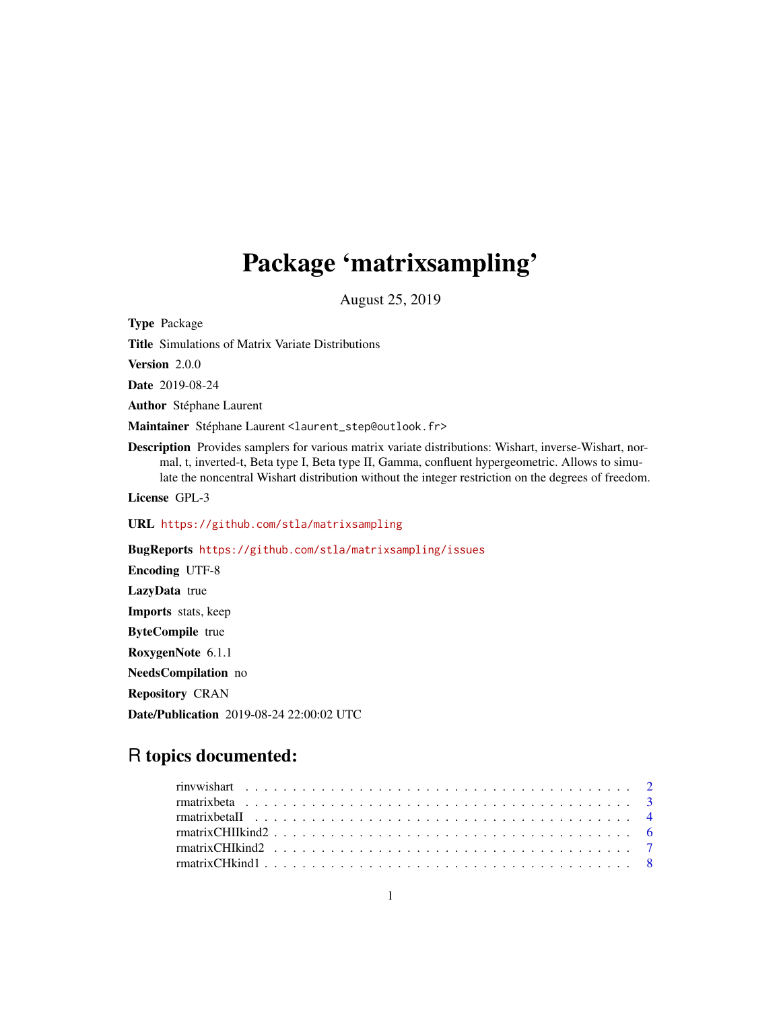## Package 'matrixsampling'

August 25, 2019

<span id="page-0-0"></span>Type Package Title Simulations of Matrix Variate Distributions Version 2.0.0 Date 2019-08-24 Author Stéphane Laurent Maintainer Stéphane Laurent <laurent\_step@outlook.fr> Description Provides samplers for various matrix variate distributions: Wishart, inverse-Wishart, normal, t, inverted-t, Beta type I, Beta type II, Gamma, confluent hypergeometric. Allows to simulate the noncentral Wishart distribution without the integer restriction on the degrees of freedom. License GPL-3 URL <https://github.com/stla/matrixsampling> BugReports <https://github.com/stla/matrixsampling/issues> Encoding UTF-8 LazyData true Imports stats, keep ByteCompile true RoxygenNote 6.1.1 NeedsCompilation no Repository CRAN Date/Publication 2019-08-24 22:00:02 UTC

### R topics documented: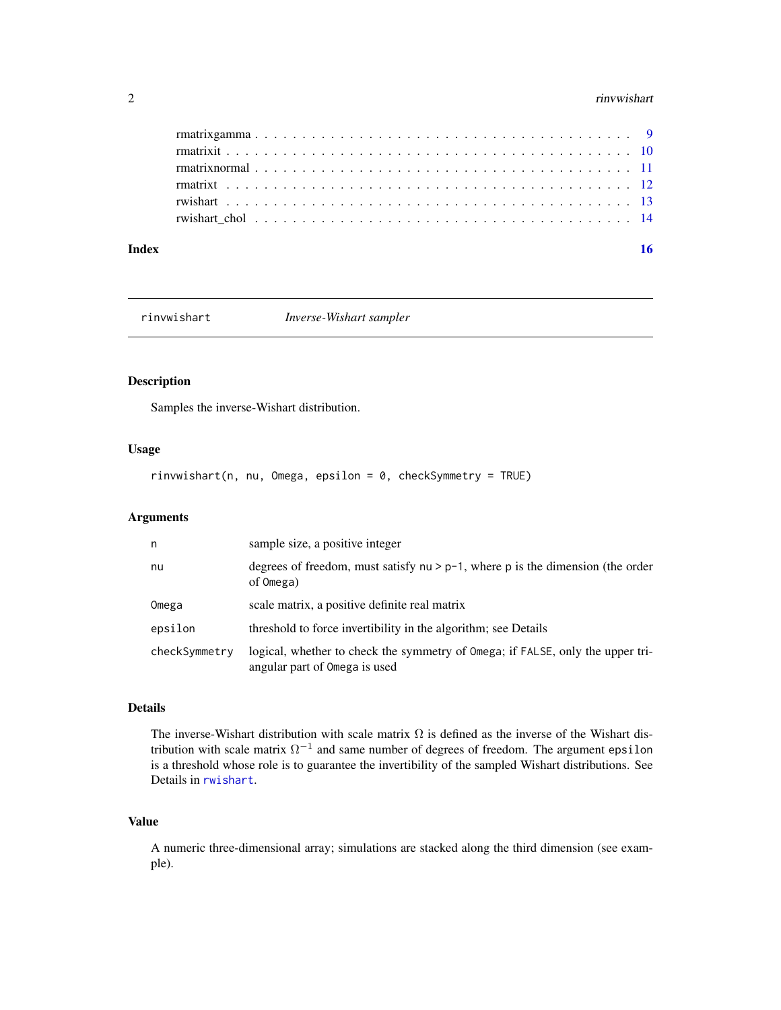#### <span id="page-1-0"></span>2 *Particular and the contract of the contract of the contract of the contract of the contract of the contract* **of the contract of the contract of the contract of the contract of the contract of the contract of the contra**

| Index | 16 |
|-------|----|
|       |    |
|       |    |
|       |    |
|       |    |
|       |    |
|       |    |

rinvwishart *Inverse-Wishart sampler*

#### Description

Samples the inverse-Wishart distribution.

#### Usage

rinvwishart(n, nu, Omega, epsilon = 0, checkSymmetry = TRUE)

#### Arguments

| n             | sample size, a positive integer                                                                                 |
|---------------|-----------------------------------------------------------------------------------------------------------------|
| nu            | degrees of freedom, must satisfy $nu > p-1$ , where p is the dimension (the order<br>of Omega)                  |
| Omega         | scale matrix, a positive definite real matrix                                                                   |
| epsilon       | threshold to force invertibility in the algorithm; see Details                                                  |
| checkSymmetry | logical, whether to check the symmetry of Omega; if FALSE, only the upper tri-<br>angular part of Omega is used |

#### Details

The inverse-Wishart distribution with scale matrix  $\Omega$  is defined as the inverse of the Wishart distribution with scale matrix  $\Omega^{-1}$  and same number of degrees of freedom. The argument epsilon is a threshold whose role is to guarantee the invertibility of the sampled Wishart distributions. See Details in [rwishart](#page-12-1).

#### Value

A numeric three-dimensional array; simulations are stacked along the third dimension (see example).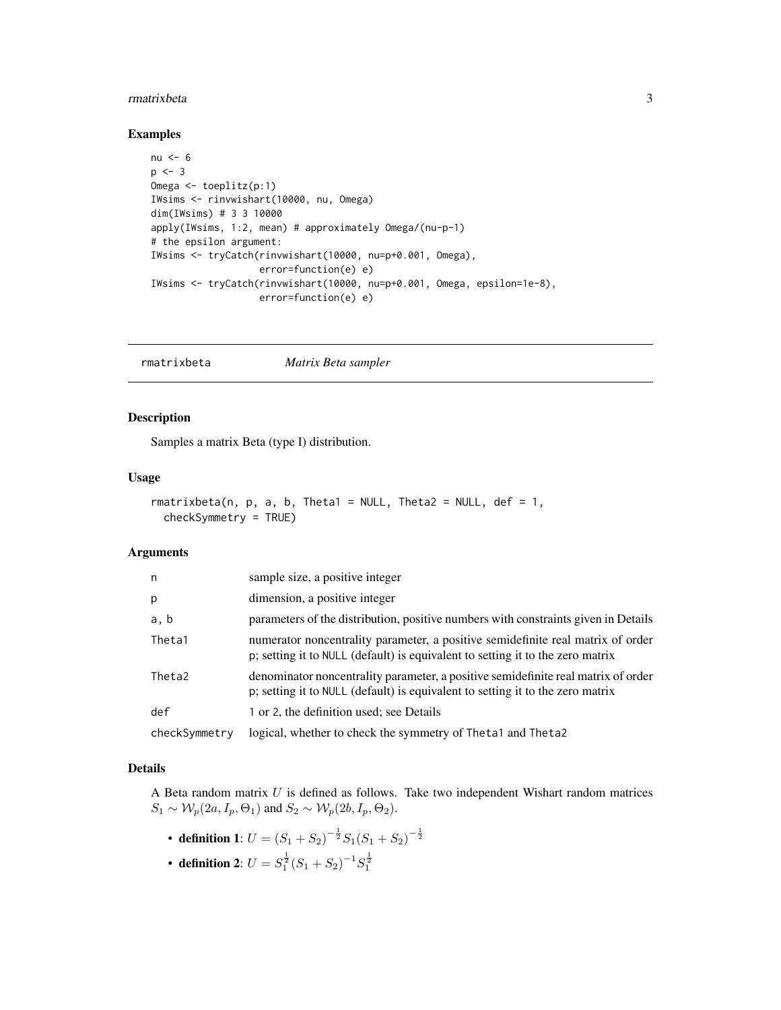#### <span id="page-2-0"></span>rmatrixbeta 3

#### Examples

```
nu <-6p \le -3Omega <- toeplitz(p:1)
IWsims <- rinvwishart(10000, nu, Omega)
dim(IWsims) # 3 3 10000
apply(IWsims, 1:2, mean) # approximately Omega/(nu-p-1)
# the epsilon argument:
IWsims <- tryCatch(rinvwishart(10000, nu=p+0.001, Omega),
                   error=function(e) e)
IWsims <- tryCatch(rinvwishart(10000, nu=p+0.001, Omega, epsilon=1e-8),
                   error=function(e) e)
```
<span id="page-2-1"></span>rmatrixbeta *Matrix Beta sampler*

#### Description

Samples a matrix Beta (type I) distribution.

#### Usage

```
rmatrixbeta(n, p, a, b, Theta1 = NULL, Theta2 = NULL, def = 1,
  checkSymmetry = TRUE)
```
#### Arguments

| n             | sample size, a positive integer                                                                                                                                     |
|---------------|---------------------------------------------------------------------------------------------------------------------------------------------------------------------|
| p             | dimension, a positive integer                                                                                                                                       |
| a, b          | parameters of the distribution, positive numbers with constraints given in Details                                                                                  |
| Theta1        | numerator noncentrality parameter, a positive semidefinite real matrix of order<br>p; setting it to NULL (default) is equivalent to setting it to the zero matrix   |
| Theta2        | denominator noncentrality parameter, a positive semidefinite real matrix of order<br>p; setting it to NULL (default) is equivalent to setting it to the zero matrix |
| def           | 1 or 2, the definition used; see Details                                                                                                                            |
| checkSymmetry | logical, whether to check the symmetry of Theta1 and Theta2                                                                                                         |

#### Details

A Beta random matrix  $U$  is defined as follows. Take two independent Wishart random matrices  $S_1 \sim \mathcal{W}_p(2a, I_p, \Theta_1)$  and  $S_2 \sim \mathcal{W}_p(2b, I_p, \Theta_2)$ .

- definition 1:  $U = (S_1 + S_2)^{-\frac{1}{2}} S_1 (S_1 + S_2)^{-\frac{1}{2}}$
- definition 2:  $U = S_1^{\frac{1}{2}} (S_1 + S_2)^{-1} S_1^{\frac{1}{2}}$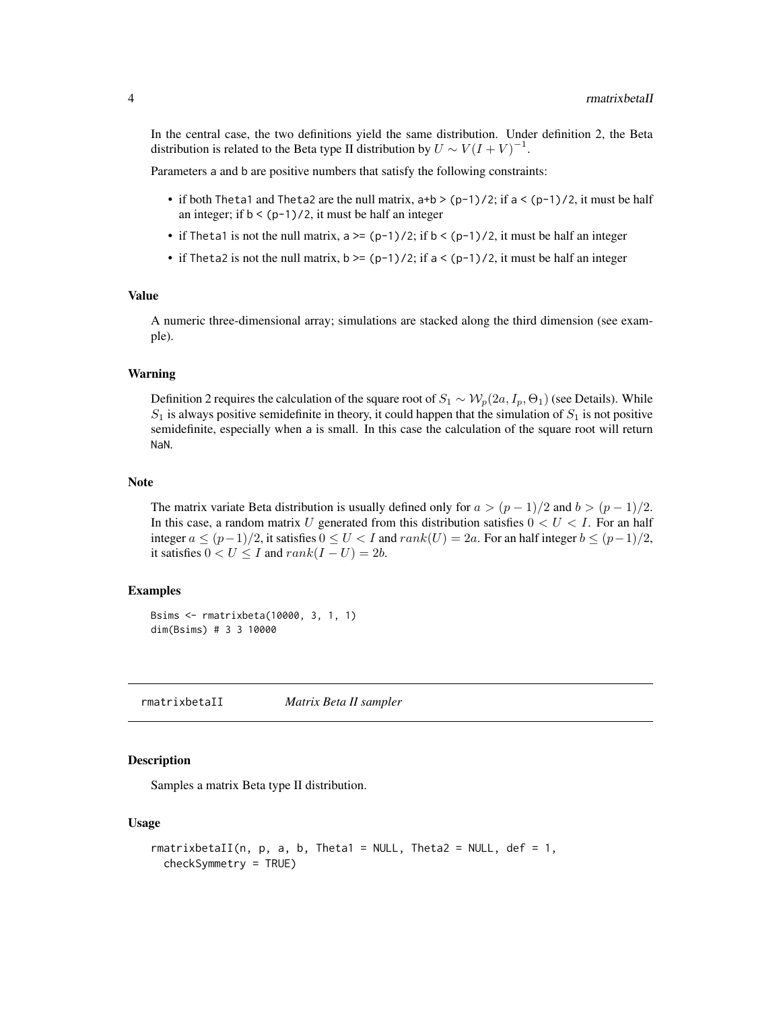<span id="page-3-0"></span>In the central case, the two definitions yield the same distribution. Under definition 2, the Beta distribution is related to the Beta type II distribution by  $U \sim V(I+V)^{-1}$ .

Parameters a and b are positive numbers that satisfy the following constraints:

- if both Theta1 and Theta2 are the null matrix,  $a+b$  >  $(p-1)/2$ ; if  $a < (p-1)/2$ , it must be half an integer; if  $b < (p-1)/2$ , it must be half an integer
- if Theta1 is not the null matrix,  $a \geq (p-1)/2$ ; if  $b \leq (p-1)/2$ , it must be half an integer
- if Theta2 is not the null matrix,  $b \ge -(p-1)/2$ ; if  $a \lt (p-1)/2$ , it must be half an integer

#### Value

A numeric three-dimensional array; simulations are stacked along the third dimension (see example).

#### Warning

Definition 2 requires the calculation of the square root of  $S_1 \sim \mathcal{W}_p(2a, I_p, \Theta_1)$  (see Details). While  $S_1$  is always positive semidefinite in theory, it could happen that the simulation of  $S_1$  is not positive semidefinite, especially when a is small. In this case the calculation of the square root will return NaN.

#### **Note**

The matrix variate Beta distribution is usually defined only for  $a > (p-1)/2$  and  $b > (p-1)/2$ . In this case, a random matrix U generated from this distribution satisfies  $0 < U < I$ . For an half integer  $a \le (p-1)/2$ , it satisfies  $0 \le U < I$  and  $rank(U) = 2a$ . For an half integer  $b \le (p-1)/2$ , it satisfies  $0 < U \leq I$  and  $rank(I - U) = 2b$ .

#### Examples

```
Bsims <- rmatrixbeta(10000, 3, 1, 1)
dim(Bsims) # 3 3 10000
```
rmatrixbetaII *Matrix Beta II sampler*

#### **Description**

Samples a matrix Beta type II distribution.

#### Usage

```
rmatrixbetaII(n, p, a, b, Theta1 = NULL, Theta2 = NULL, def = 1,
 checkSymmetry = TRUE)
```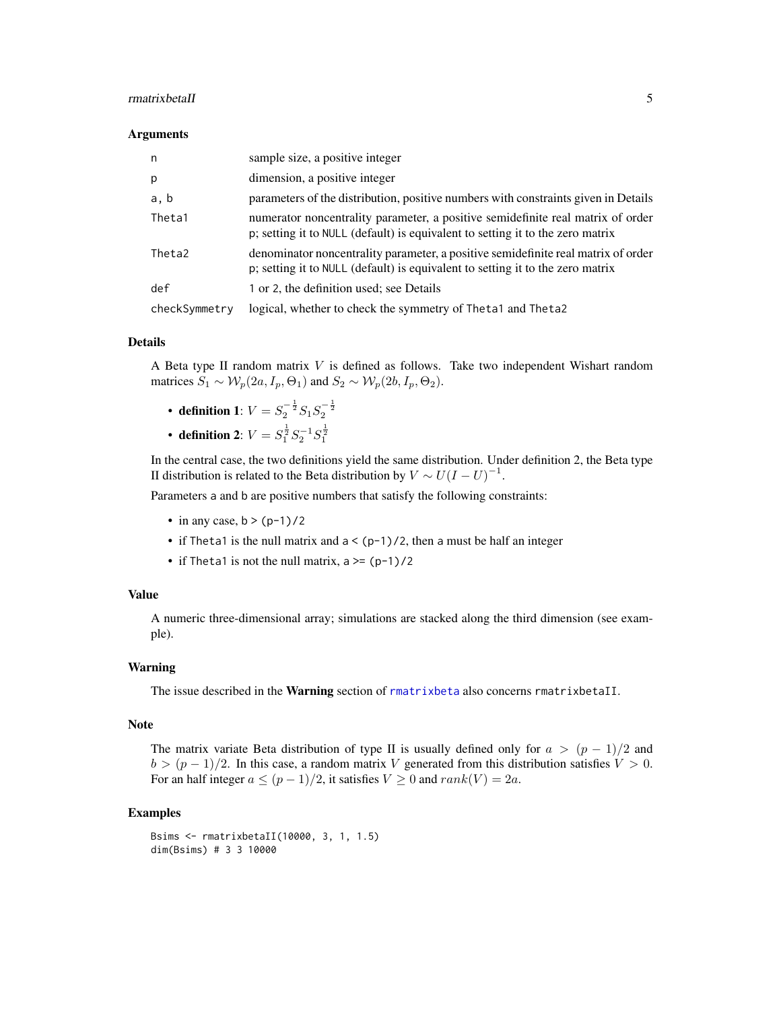#### <span id="page-4-0"></span>rmatrixbetaII 5

#### Arguments

| n             | sample size, a positive integer                                                                                                                                     |
|---------------|---------------------------------------------------------------------------------------------------------------------------------------------------------------------|
| p             | dimension, a positive integer                                                                                                                                       |
| a, b          | parameters of the distribution, positive numbers with constraints given in Details                                                                                  |
| Theta1        | numerator noncentrality parameter, a positive semidefinite real matrix of order<br>p; setting it to NULL (default) is equivalent to setting it to the zero matrix   |
| Theta2        | denominator noncentrality parameter, a positive semidefinite real matrix of order<br>p; setting it to NULL (default) is equivalent to setting it to the zero matrix |
| def           | 1 or 2, the definition used; see Details                                                                                                                            |
| checkSymmetry | logical, whether to check the symmetry of Theta1 and Theta2                                                                                                         |

#### Details

A Beta type II random matrix V is defined as follows. Take two independent Wishart random matrices  $S_1 \sim \mathcal{W}_p(2a, I_p, \Theta_1)$  and  $S_2 \sim \mathcal{W}_p(2b, I_p, \Theta_2)$ .

- definition 1:  $V = S_2^{-\frac{1}{2}} S_1 S_2^{-\frac{1}{2}}$
- definition 2:  $V = S_1^{\frac{1}{2}} S_2^{-1} S_1^{\frac{1}{2}}$

In the central case, the two definitions yield the same distribution. Under definition 2, the Beta type II distribution is related to the Beta distribution by  $V \sim U(I-U)^{-1}$ .

Parameters a and b are positive numbers that satisfy the following constraints:

- in any case,  $b > (p-1)/2$
- if Theta1 is the null matrix and  $a < (p-1)/2$ , then a must be half an integer
- if Theta1 is not the null matrix,  $a \geq (p-1)/2$

#### Value

A numeric three-dimensional array; simulations are stacked along the third dimension (see example).

#### Warning

The issue described in the Warning section of [rmatrixbeta](#page-2-1) also concerns rmatrixbetaII.

#### Note

The matrix variate Beta distribution of type II is usually defined only for  $a > (p-1)/2$  and  $b > (p-1)/2$ . In this case, a random matrix V generated from this distribution satisfies  $V > 0$ . For an half integer  $a \le (p-1)/2$ , it satisfies  $V \ge 0$  and  $rank(V) = 2a$ .

```
Bsims <- rmatrixbetaII(10000, 3, 1, 1.5)
dim(Bsims) # 3 3 10000
```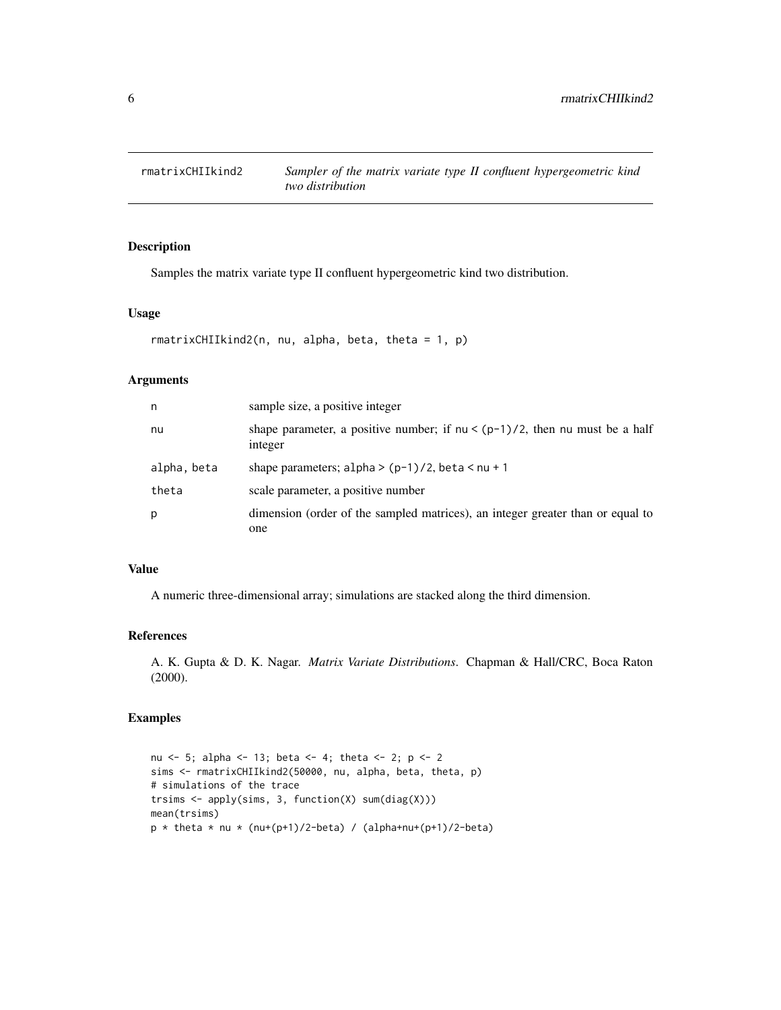<span id="page-5-0"></span>

Samples the matrix variate type II confluent hypergeometric kind two distribution.

#### Usage

```
rmatrixCHIIkind2(n, nu, alpha, beta, theta = 1, p)
```
#### Arguments

| n           | sample size, a positive integer                                                           |
|-------------|-------------------------------------------------------------------------------------------|
| nu          | shape parameter, a positive number; if $nu < (p-1)/2$ , then nu must be a half<br>integer |
| alpha, beta | shape parameters; alpha > $(p-1)/2$ , beta < nu + 1                                       |
| theta       | scale parameter, a positive number                                                        |
| p           | dimension (order of the sampled matrices), an integer greater than or equal to<br>one     |

#### Value

A numeric three-dimensional array; simulations are stacked along the third dimension.

#### References

A. K. Gupta & D. K. Nagar. *Matrix Variate Distributions*. Chapman & Hall/CRC, Boca Raton (2000).

#### Examples

nu <- 5; alpha <- 13; beta <- 4; theta <- 2; p <- 2 sims <- rmatrixCHIIkind2(50000, nu, alpha, beta, theta, p) # simulations of the trace trsims <- apply(sims, 3, function(X) sum(diag(X))) mean(trsims)  $p *$  theta  $*$  nu  $*$  (nu+(p+1)/2-beta) / (alpha+nu+(p+1)/2-beta)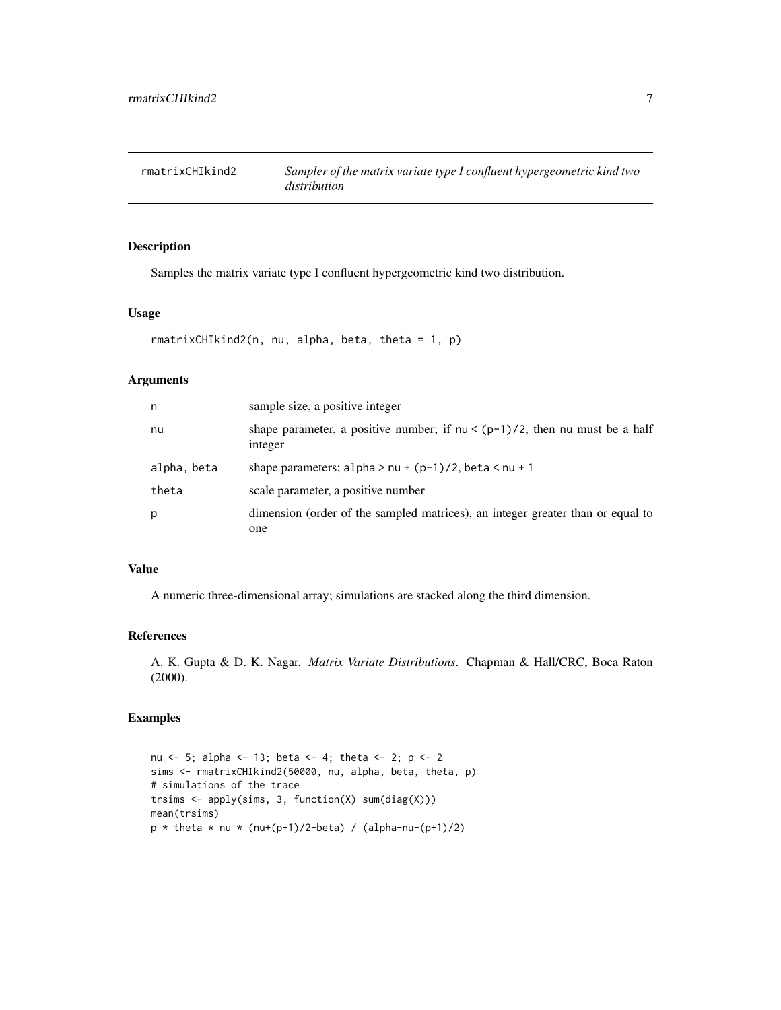<span id="page-6-0"></span>

Samples the matrix variate type I confluent hypergeometric kind two distribution.

#### Usage

```
rmatrixCHIkind2(n, nu, alpha, beta, theta = 1, p)
```
#### Arguments

| n           | sample size, a positive integer                                                           |
|-------------|-------------------------------------------------------------------------------------------|
| nu          | shape parameter, a positive number; if $nu < (p-1)/2$ , then nu must be a half<br>integer |
| alpha, beta | shape parameters; $alpha > nu + (p-1)/2$ , beta $\lt nu + 1$                              |
| theta       | scale parameter, a positive number                                                        |
| p           | dimension (order of the sampled matrices), an integer greater than or equal to<br>one     |

#### Value

A numeric three-dimensional array; simulations are stacked along the third dimension.

#### References

A. K. Gupta & D. K. Nagar. *Matrix Variate Distributions*. Chapman & Hall/CRC, Boca Raton (2000).

#### Examples

nu <- 5; alpha <- 13; beta <- 4; theta <- 2; p <- 2 sims <- rmatrixCHIkind2(50000, nu, alpha, beta, theta, p) # simulations of the trace trsims <- apply(sims, 3, function(X) sum(diag(X))) mean(trsims)  $p *$  theta  $*$  nu  $*$  (nu+(p+1)/2-beta) / (alpha-nu-(p+1)/2)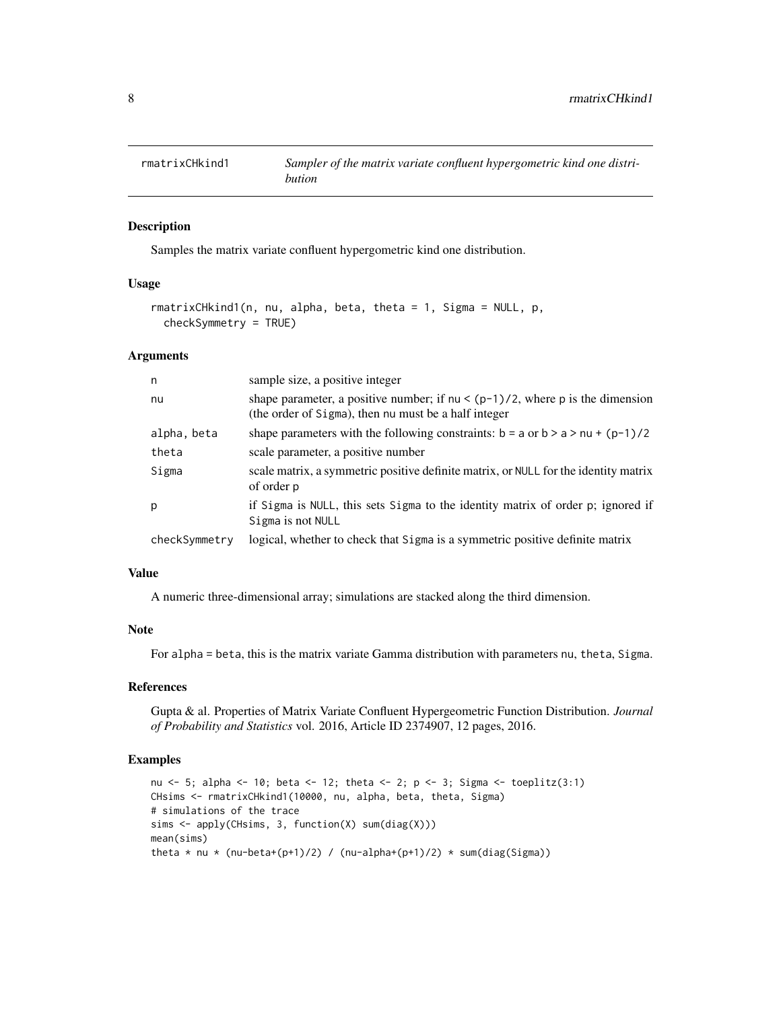<span id="page-7-0"></span>

Samples the matrix variate confluent hypergometric kind one distribution.

#### Usage

```
rmatrixCHkind1(n, nu, alpha, beta, theta = 1, Sigma = NULL, p,
  checkSymmetry = TRUE)
```
#### Arguments

| n             | sample size, a positive integer                                                                                                          |
|---------------|------------------------------------------------------------------------------------------------------------------------------------------|
| nu            | shape parameter, a positive number; if $nu < (p-1)/2$ , where p is the dimension<br>(the order of Sigma), then nu must be a half integer |
| alpha, beta   | shape parameters with the following constraints: $b = a$ or $b > a > nu + (p-1)/2$                                                       |
| theta         | scale parameter, a positive number                                                                                                       |
| Sigma         | scale matrix, a symmetric positive definite matrix, or NULL for the identity matrix<br>of order p                                        |
| p             | if Sigma is NULL, this sets Sigma to the identity matrix of order p; ignored if<br>Sigma is not NULL                                     |
| checkSymmetry | logical, whether to check that Sigma is a symmetric positive definite matrix                                                             |

#### Value

A numeric three-dimensional array; simulations are stacked along the third dimension.

#### Note

For alpha = beta, this is the matrix variate Gamma distribution with parameters nu, theta, Sigma.

#### References

Gupta & al. Properties of Matrix Variate Confluent Hypergeometric Function Distribution. *Journal of Probability and Statistics* vol. 2016, Article ID 2374907, 12 pages, 2016.

```
nu <- 5; alpha <- 10; beta <- 12; theta <- 2; p <- 3; Sigma <- toeplitz(3:1)
CHsims <- rmatrixCHkind1(10000, nu, alpha, beta, theta, Sigma)
# simulations of the trace
sims <- apply(CHsims, 3, function(X) sum(diag(X)))
mean(sims)
theta * nu * (nu-beta+(p+1)/2) / (nu-alpha+(p+1)/2) * sum(diag(Sigma))
```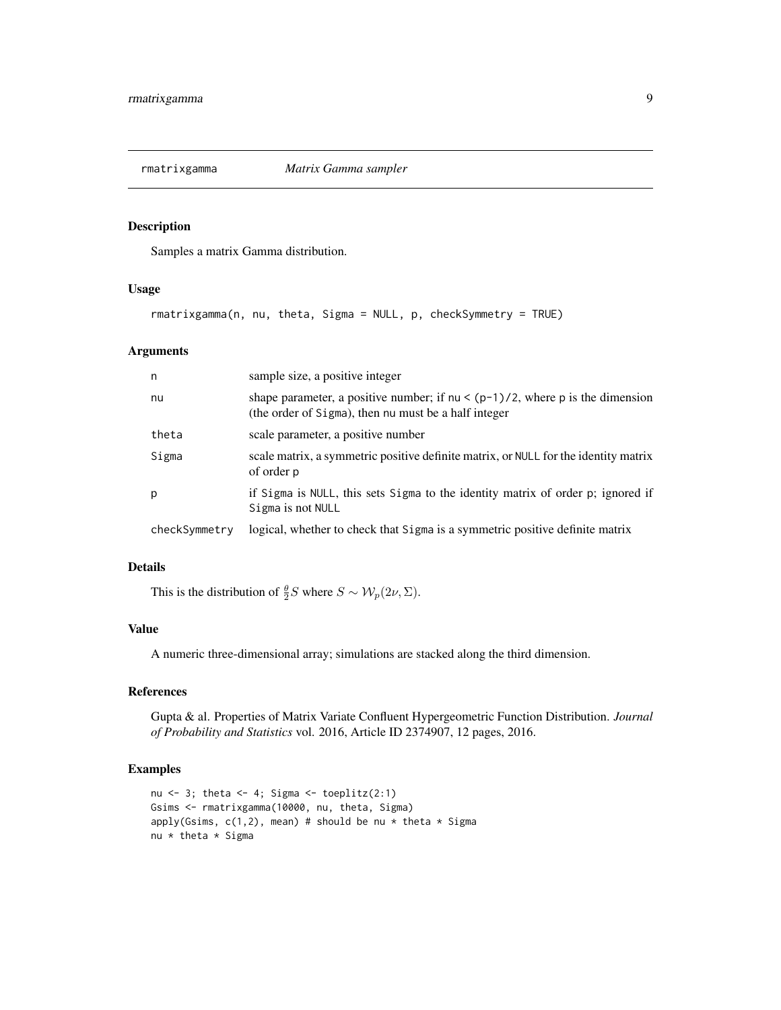<span id="page-8-0"></span>

Samples a matrix Gamma distribution.

#### Usage

rmatrixgamma(n, nu, theta, Sigma = NULL, p, checkSymmetry = TRUE)

#### Arguments

| n             | sample size, a positive integer                                                                                                          |
|---------------|------------------------------------------------------------------------------------------------------------------------------------------|
| nu            | shape parameter, a positive number; if $nu < (p-1)/2$ , where p is the dimension<br>(the order of Sigma), then nu must be a half integer |
| theta         | scale parameter, a positive number                                                                                                       |
| Sigma         | scale matrix, a symmetric positive definite matrix, or NULL for the identity matrix<br>of order p                                        |
| p             | if Sigma is NULL, this sets Sigma to the identity matrix of order p; ignored if<br>Sigma is not NULL                                     |
| checkSymmetry | logical, whether to check that Sigma is a symmetric positive definite matrix                                                             |

#### Details

This is the distribution of  $\frac{\theta}{2}S$  where  $S \sim \mathcal{W}_p(2\nu, \Sigma)$ .

#### Value

A numeric three-dimensional array; simulations are stacked along the third dimension.

#### References

Gupta & al. Properties of Matrix Variate Confluent Hypergeometric Function Distribution. *Journal of Probability and Statistics* vol. 2016, Article ID 2374907, 12 pages, 2016.

```
nu <- 3; theta <- 4; Sigma <- toeplitz(2:1)Gsims <- rmatrixgamma(10000, nu, theta, Sigma)
apply(Gsims, c(1,2), mean) # should be nu * theta * Sigma
nu * theta * Sigma
```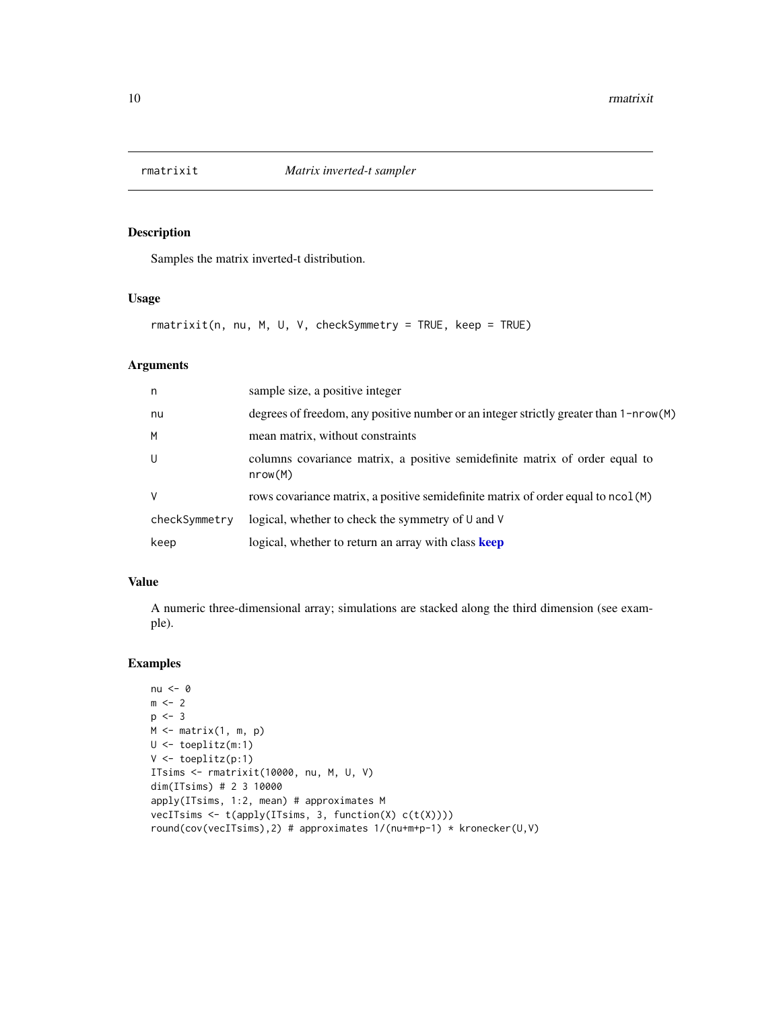<span id="page-9-0"></span>

Samples the matrix inverted-t distribution.

#### Usage

```
rmatrixit(n, nu, M, U, V, checkSymmetry = TRUE, keep = TRUE)
```
#### Arguments

| n.            | sample size, a positive integer                                                        |
|---------------|----------------------------------------------------------------------------------------|
| nu            | degrees of freedom, any positive number or an integer strictly greater than 1-nrow(M)  |
| M             | mean matrix, without constraints                                                       |
| U             | columns covariance matrix, a positive semidefinite matrix of order equal to<br>nrow(M) |
| $\vee$        | rows covariance matrix, a positive semidefinite matrix of order equal to ncol (M)      |
| checkSymmetry | logical, whether to check the symmetry of U and V                                      |
| keep          | logical, whether to return an array with class keep                                    |

#### Value

A numeric three-dimensional array; simulations are stacked along the third dimension (see example).

```
nu <- 0
m \le -2p \le -3M \leftarrow matrix(1, m, p)U <- toeplitz(m:1)
V <- toeplitz(p:1)
ITsims <- rmatrixit(10000, nu, M, U, V)
dim(ITsims) # 2 3 10000
apply(ITsims, 1:2, mean) # approximates M
vecITsims <- t(apply(ITsims, 3, function(X) c(t(X))))
round(cov(vecITsims),2) # approximates 1/(nu+m+p-1) * kronecker(U,V)
```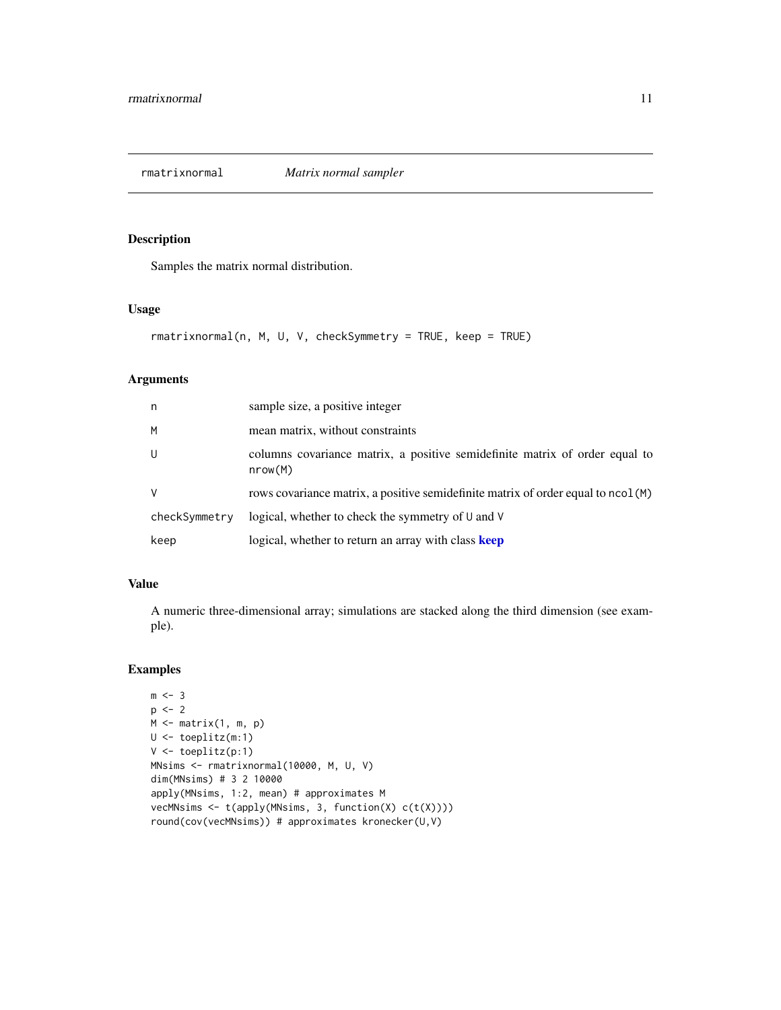<span id="page-10-0"></span>rmatrixnormal *Matrix normal sampler*

#### Description

Samples the matrix normal distribution.

#### Usage

```
rmatrixnormal(n, M, U, V, checkSymmetry = TRUE, keep = TRUE)
```
#### Arguments

| n             | sample size, a positive integer                                                        |
|---------------|----------------------------------------------------------------------------------------|
| M             | mean matrix, without constraints                                                       |
| U             | columns covariance matrix, a positive semidefinite matrix of order equal to<br>nrow(M) |
| $\vee$        | rows covariance matrix, a positive semidefinite matrix of order equal to ncol (M)      |
| checkSymmetry | logical, whether to check the symmetry of U and V                                      |
| keep          | logical, whether to return an array with class keep                                    |

#### Value

A numeric three-dimensional array; simulations are stacked along the third dimension (see example).

```
m \leq -3p \leftarrow 2M \leftarrow matrix(1, m, p)U <- toeplitz(m:1)
V <- toeplitz(p:1)
MNsims <- rmatrixnormal(10000, M, U, V)
dim(MNsims) # 3 2 10000
apply(MNsims, 1:2, mean) # approximates M
vecMNsims <- t(apply(MNsims, 3, function(X) c(t(X))))
round(cov(vecMNsims)) # approximates kronecker(U,V)
```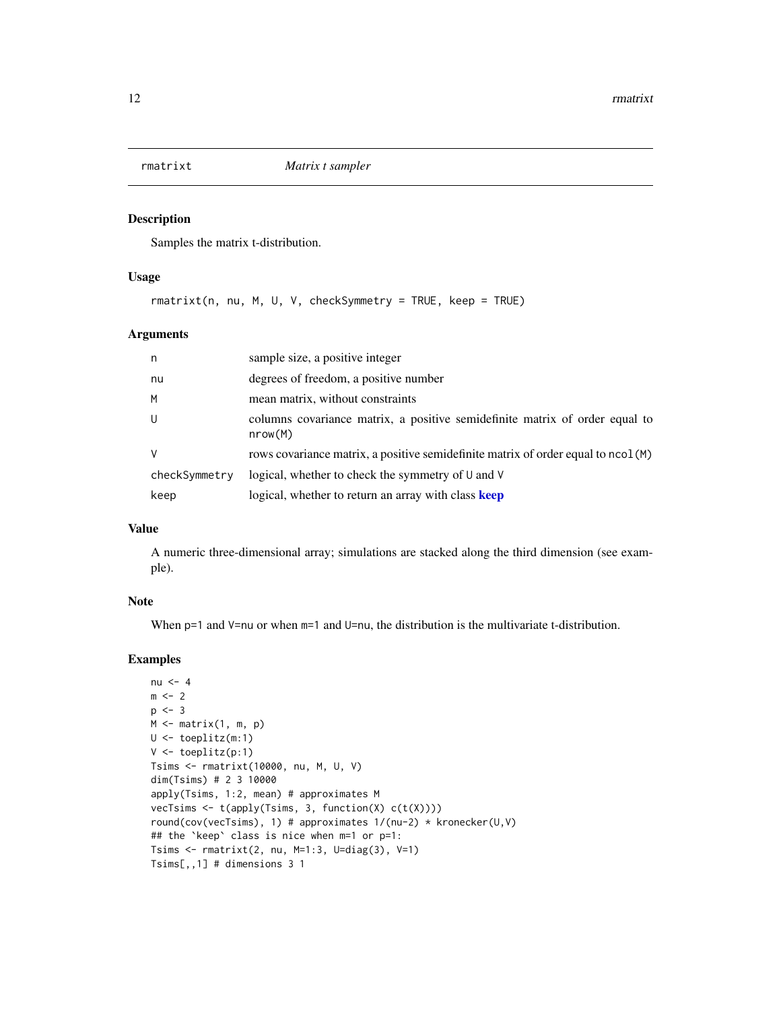<span id="page-11-0"></span>

Samples the matrix t-distribution.

#### Usage

rmatrixt(n, nu, M, U, V, checkSymmetry = TRUE, keep = TRUE)

#### Arguments

| n             | sample size, a positive integer                                                        |
|---------------|----------------------------------------------------------------------------------------|
| nu            | degrees of freedom, a positive number                                                  |
| M             | mean matrix, without constraints                                                       |
| U             | columns covariance matrix, a positive semidefinite matrix of order equal to<br>nrow(M) |
| $\vee$        | rows covariance matrix, a positive semidefinite matrix of order equal to ncol (M)      |
| checkSymmetry | logical, whether to check the symmetry of U and V                                      |
| keep          | logical, whether to return an array with class keep                                    |

#### Value

A numeric three-dimensional array; simulations are stacked along the third dimension (see example).

#### Note

When  $p=1$  and  $V=nu$  or when  $m=1$  and  $U=nu$ , the distribution is the multivariate t-distribution.

```
nu <-4m \leq -2p \le -3M \leq - matrix(1, m, p)
U <- toeplitz(m:1)
V <- toeplitz(p:1)
Tsims <- rmatrixt(10000, nu, M, U, V)
dim(Tsims) # 2 3 10000
apply(Tsims, 1:2, mean) # approximates M
vecTsims <- t(apply(Tsims, 3, function(X) c(t(X))))
round(cov(vecTsims), 1) # approximates 1/(nu-2) * kronecker(U,V)
## the `keep` class is nice when m=1 or p=1:
Tsims \le rmatrixt(2, nu, M=1:3, U=diag(3), V=1)
Tsims[,,1] # dimensions 3 1
```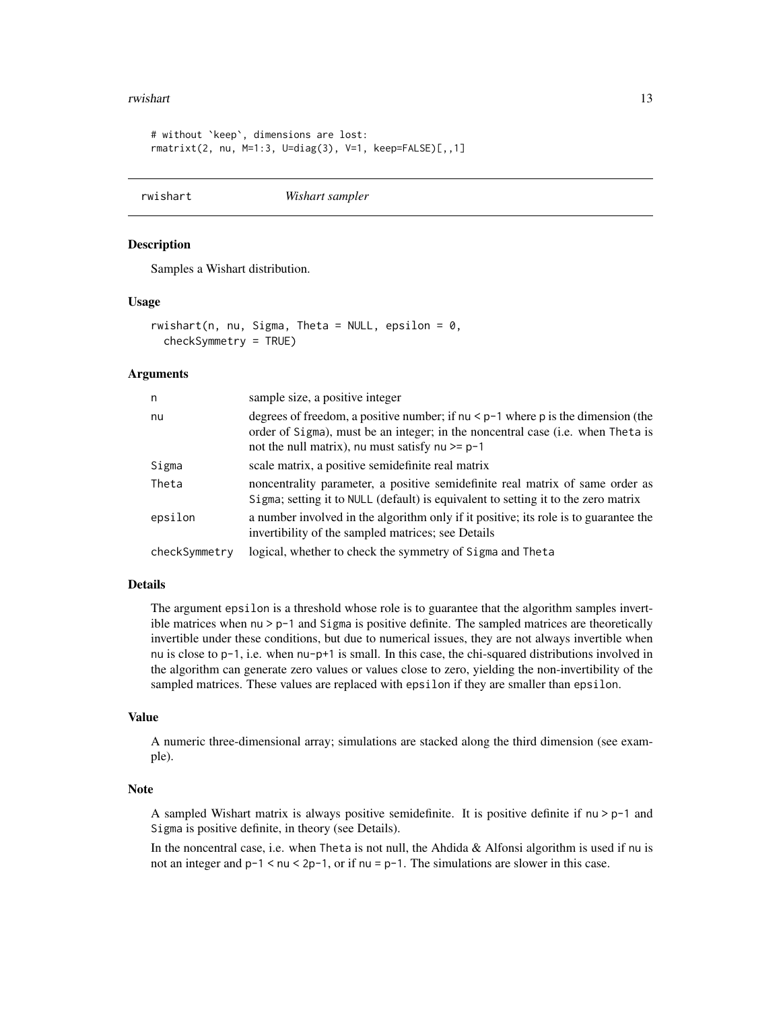#### <span id="page-12-0"></span>rwishart 13

```
# without `keep`, dimensions are lost:
rmatrixt(2, nu, M=1:3, U=diag(3), V=1, keep=FALSE)[,,1]
```
<span id="page-12-1"></span>rwishart *Wishart sampler*

#### Description

Samples a Wishart distribution.

#### Usage

 $rwinhart(n, nu, Sigma, The  $t = NULL$ ,  $epsilon = 0$ ,$ checkSymmetry = TRUE)

#### Arguments

| n             | sample size, a positive integer                                                                                                                                                                                            |
|---------------|----------------------------------------------------------------------------------------------------------------------------------------------------------------------------------------------------------------------------|
| nu            | degrees of freedom, a positive number; if $nu < p-1$ where p is the dimension (the<br>order of Sigma), must be an integer; in the noncentral case (i.e. when Theta is<br>not the null matrix), nu must satisfy nu $>= p-1$ |
| Sigma         | scale matrix, a positive semidefinite real matrix                                                                                                                                                                          |
| Theta         | noncentrality parameter, a positive semidefinite real matrix of same order as<br>Sigma; setting it to NULL (default) is equivalent to setting it to the zero matrix                                                        |
| epsilon       | a number involved in the algorithm only if it positive; its role is to guarantee the<br>invertibility of the sampled matrices; see Details                                                                                 |
| checkSymmetry | logical, whether to check the symmetry of Sigma and Theta                                                                                                                                                                  |

#### Details

The argument epsilon is a threshold whose role is to guarantee that the algorithm samples invertible matrices when  $nu > p-1$  and Sigma is positive definite. The sampled matrices are theoretically invertible under these conditions, but due to numerical issues, they are not always invertible when nu is close to p-1, i.e. when nu-p+1 is small. In this case, the chi-squared distributions involved in the algorithm can generate zero values or values close to zero, yielding the non-invertibility of the sampled matrices. These values are replaced with epsilon if they are smaller than epsilon.

#### Value

A numeric three-dimensional array; simulations are stacked along the third dimension (see example).

#### Note

A sampled Wishart matrix is always positive semidefinite. It is positive definite if  $nu > p-1$  and Sigma is positive definite, in theory (see Details).

In the noncentral case, i.e. when Theta is not null, the Ahdida & Alfonsi algorithm is used if nu is not an integer and p-1 < nu < 2p-1, or if nu = p-1. The simulations are slower in this case.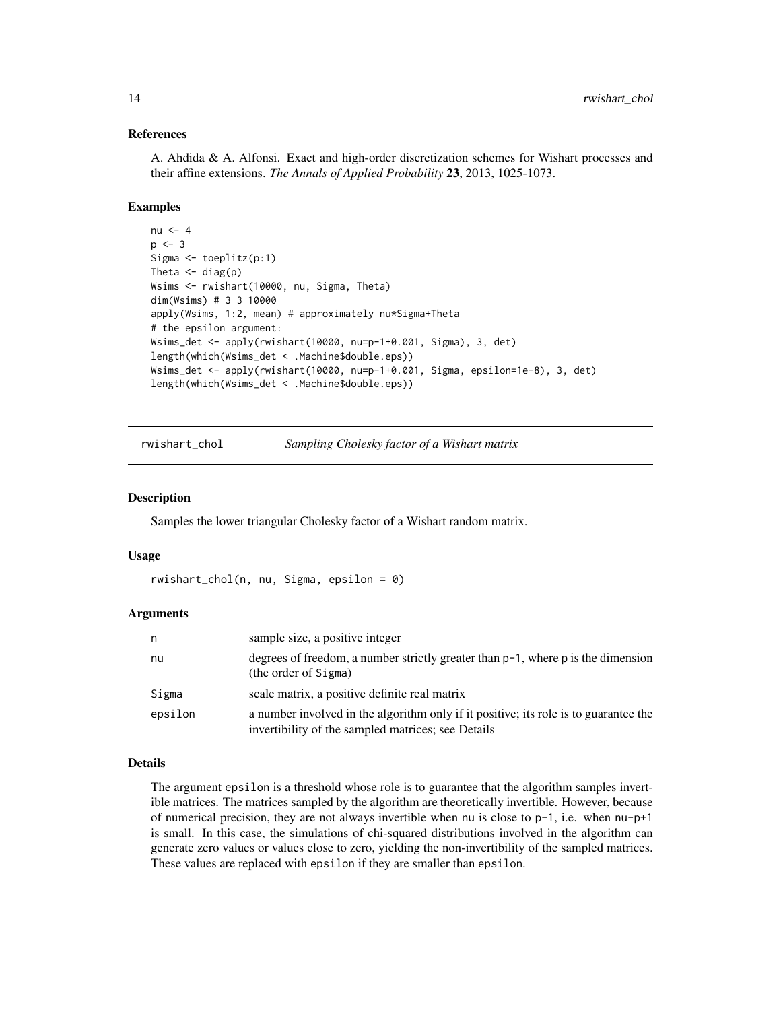#### References

A. Ahdida & A. Alfonsi. Exact and high-order discretization schemes for Wishart processes and their affine extensions. *The Annals of Applied Probability* 23, 2013, 1025-1073.

#### Examples

```
nu <-4p \le -3Sigma <- toeplitz(p:1)
Theta \leftarrow diag(p)
Wsims <- rwishart(10000, nu, Sigma, Theta)
dim(Wsims) # 3 3 10000
apply(Wsims, 1:2, mean) # approximately nu*Sigma+Theta
# the epsilon argument:
Wsims_det <- apply(rwishart(10000, nu=p-1+0.001, Sigma), 3, det)
length(which(Wsims_det < .Machine$double.eps))
Wsims_det <- apply(rwishart(10000, nu=p-1+0.001, Sigma, epsilon=1e-8), 3, det)
length(which(Wsims_det < .Machine$double.eps))
```
rwishart\_chol *Sampling Cholesky factor of a Wishart matrix*

#### Description

Samples the lower triangular Cholesky factor of a Wishart random matrix.

#### Usage

```
r wishart_{chol}(n, nu, Sigma, epsilon = 0)
```
#### Arguments

| n       | sample size, a positive integer                                                                                                            |
|---------|--------------------------------------------------------------------------------------------------------------------------------------------|
| nu      | degrees of freedom, a number strictly greater than $p-1$ , where p is the dimension<br>(the order of Sigma)                                |
| Sigma   | scale matrix, a positive definite real matrix                                                                                              |
| epsilon | a number involved in the algorithm only if it positive; its role is to guarantee the<br>invertibility of the sampled matrices; see Details |

#### Details

The argument epsilon is a threshold whose role is to guarantee that the algorithm samples invertible matrices. The matrices sampled by the algorithm are theoretically invertible. However, because of numerical precision, they are not always invertible when nu is close to p-1, i.e. when nu-p+1 is small. In this case, the simulations of chi-squared distributions involved in the algorithm can generate zero values or values close to zero, yielding the non-invertibility of the sampled matrices. These values are replaced with epsilon if they are smaller than epsilon.

<span id="page-13-0"></span>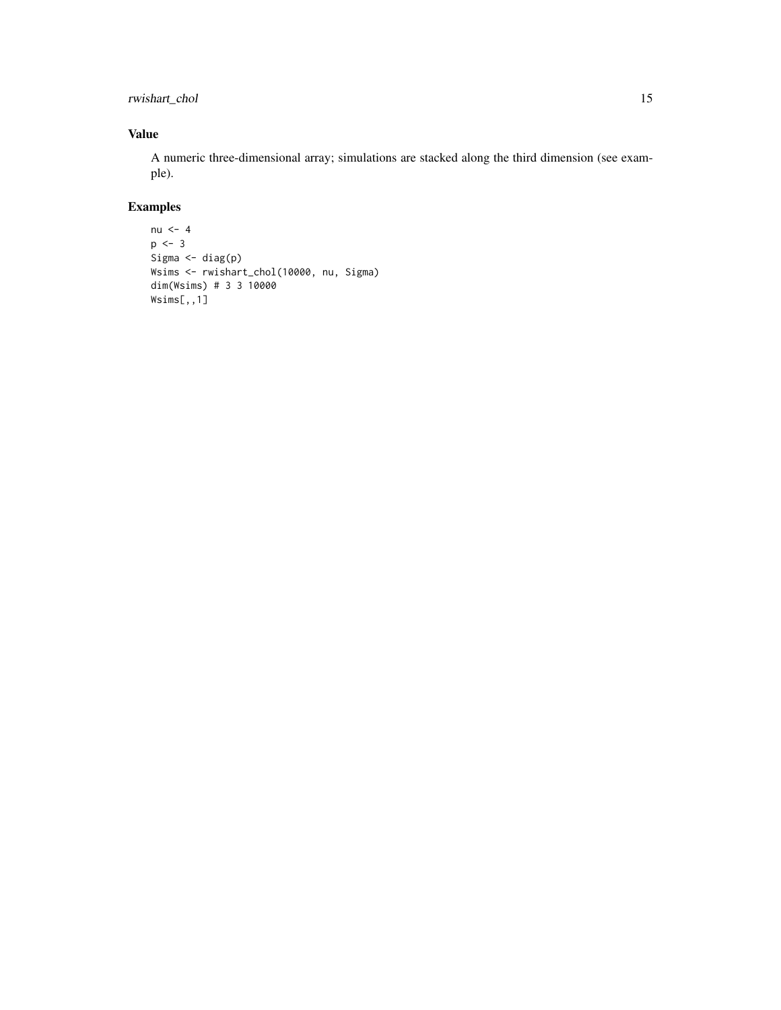rwishart\_chol 15

#### Value

A numeric three-dimensional array; simulations are stacked along the third dimension (see example).

```
nu <-4p \leftarrow 3Sigma <- diag(p)
Wsims <- rwishart_chol(10000, nu, Sigma)
dim(Wsims) # 3 3 10000
Wsims[,,1]
```